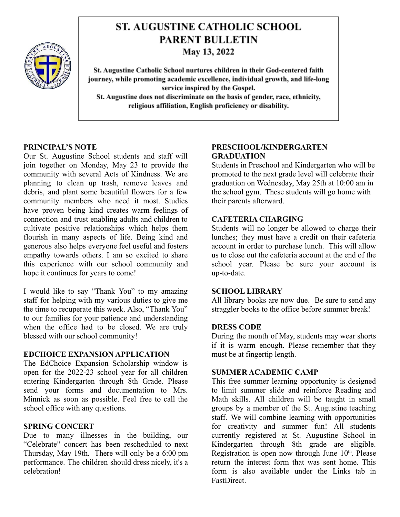

# **ST. AUGUSTINE CATHOLIC SCHOOL PARENT BULLETIN**

May 13, 2022

St. Augustine Catholic School nurtures children in their God-centered faith journey, while promoting academic excellence, individual growth, and life-long service inspired by the Gospel. St. Augustine does not discriminate on the basis of gender, race, ethnicity, religious affiliation, English proficiency or disability.

## **PRINCIPAL'S NOTE**

Our St. Augustine School students and staff will join together on Monday, May 23 to provide the community with several Acts of Kindness. We are planning to clean up trash, remove leaves and debris, and plant some beautiful flowers for a few community members who need it most. Studies have proven being kind creates warm feelings of connection and trust enabling adults and children to cultivate positive relationships which helps them flourish in many aspects of life. Being kind and generous also helps everyone feel useful and fosters empathy towards others. I am so excited to share this experience with our school community and hope it continues for years to come!

I would like to say "Thank You" to my amazing staff for helping with my various duties to give me the time to recuperate this week. Also, "Thank You" to our families for your patience and understanding when the office had to be closed. We are truly blessed with our school community!

# **EDCHOICE EXPANSION APPLICATION**

The EdChoice Expansion Scholarship window is open for the 2022-23 school year for all children entering Kindergarten through 8th Grade. Please send your forms and documentation to Mrs. Minnick as soon as possible. Feel free to call the school office with any questions.

# **SPRING CONCERT**

Due to many illnesses in the building, our "Celebrate" concert has been rescheduled to next Thursday, May 19th. There will only be a 6:00 pm performance. The children should dress nicely, it's a celebration!

# **PRESCHOOL/KINDERGARTEN GRADUATION**

Students in Preschool and Kindergarten who will be promoted to the next grade level will celebrate their graduation on Wednesday, May 25th at 10:00 am in the school gym. These students will go home with their parents afterward.

## **CAFETERIA CHARGING**

Students will no longer be allowed to charge their lunches; they must have a credit on their cafeteria account in order to purchase lunch. This will allow us to close out the cafeteria account at the end of the school year. Please be sure your account is up-to-date.

#### **SCHOOL LIBRARY**

All library books are now due. Be sure to send any straggler books to the office before summer break!

#### **DRESS CODE**

During the month of May, students may wear shorts if it is warm enough. Please remember that they must be at fingertip length.

#### **SUMMER ACADEMIC CAMP**

This free summer learning opportunity is designed to limit summer slide and reinforce Reading and Math skills. All children will be taught in small groups by a member of the St. Augustine teaching staff. We will combine learning with opportunities for creativity and summer fun! All students currently registered at St. Augustine School in Kindergarten through 8th grade are eligible. Registration is open now through June  $10<sup>th</sup>$ . Please return the interest form that was sent home. This form is also available under the Links tab in FastDirect.